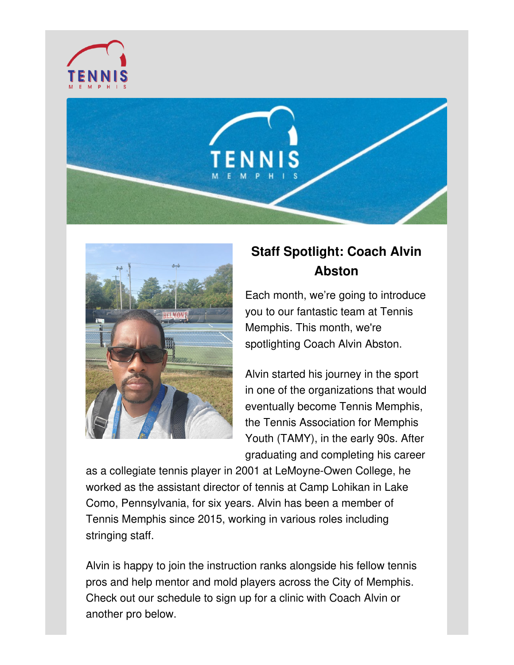





## **Staff Spotlight: Coach Alvin Abston**

Each month, we're going to introduce you to our fantastic team at Tennis Memphis. This month, we're spotlighting Coach Alvin Abston.

Alvin started his journey in the sport in one of the organizations that would eventually become Tennis Memphis, the Tennis Association for Memphis Youth (TAMY), in the early 90s. After graduating and completing his career

as a collegiate tennis player in 2001 at LeMoyne-Owen College, he worked as the assistant director of tennis at Camp Lohikan in Lake Como, Pennsylvania, for six years. Alvin has been a member of Tennis Memphis since 2015, working in various roles including stringing staff.

Alvin is happy to join the instruction ranks alongside his fellow tennis pros and help mentor and mold players across the City of Memphis. Check out our schedule to sign up for a clinic with Coach Alvin or another pro below.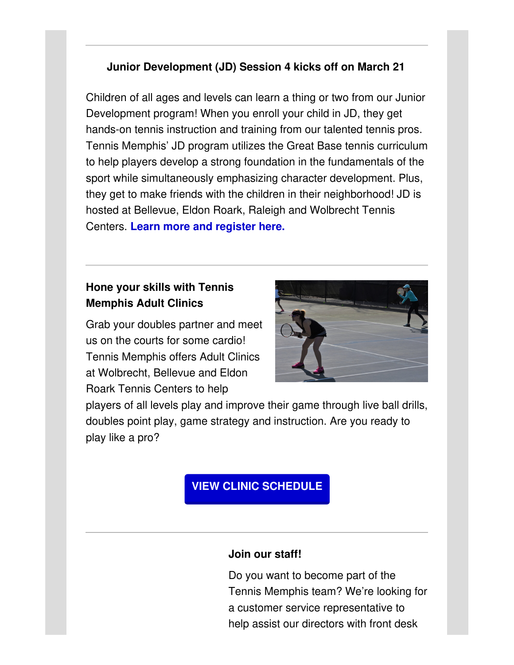#### **Junior Development (JD) Session 4 kicks off on March 21**

Children of all ages and levels can learn a thing or two from our Junior Development program! When you enroll your child in JD, they get hands-on tennis instruction and training from our talented tennis pros. Tennis Memphis' JD program utilizes the Great Base tennis curriculum to help players develop a strong foundation in the fundamentals of the sport while simultaneously emphasizing character development. Plus, they get to make friends with the children in their neighborhood! JD is hosted at Bellevue, Eldon Roark, Raleigh and Wolbrecht Tennis Centers. **Learn more and [register](http://tennismemphis.org/play/junior-programs/) here.**

### **Hone your skills with Tennis Memphis Adult Clinics**

Grab your doubles partner and meet us on the courts for some cardio! Tennis Memphis offers Adult Clinics at Wolbrecht, Bellevue and Eldon Roark Tennis Centers to help



players of all levels play and improve their game through live ball drills, doubles point play, game strategy and instruction. Are you ready to play like a pro?

## **VIEW CLINIC [SCHEDULE](http://tennismemphis.org/wp-content/uploads/2022/01/Tennis_Adult-Clinic-Schedule.pdf)**

#### **Join our staff!**

Do you want to become part of the Tennis Memphis team? We're looking for a customer service representative to help assist our directors with front desk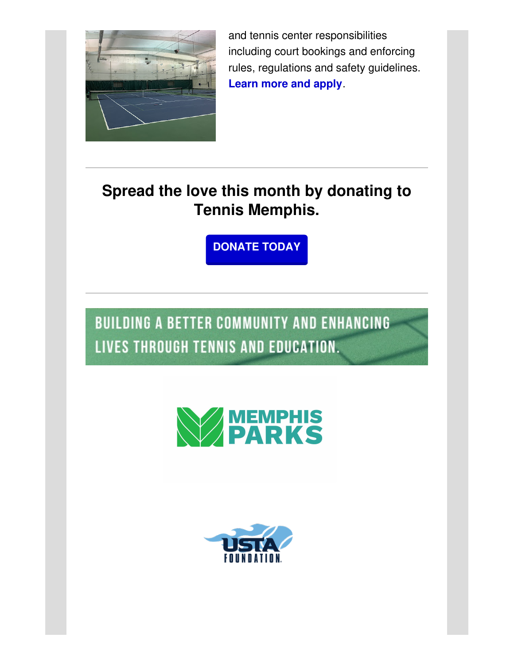

and tennis center responsibilities including court bookings and enforcing rules, regulations and safety guidelines. **[Learn](http://tennismemphis.org/employment-opportunities/) more and apply**.

# **Spread the love this month by donating to Tennis Memphis.**

**[DONATE](http://tennismemphis.org/donate/) TODAY**

**BUILDING A BETTER COMMUNITY AND ENHANCING** LIVES THROUGH TENNIS AND EDUCATION.